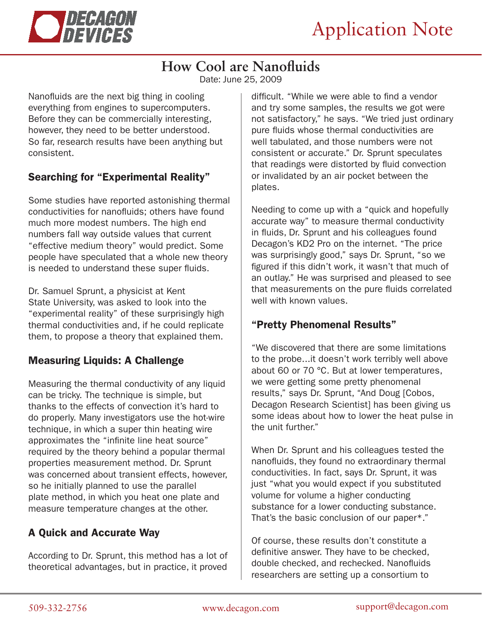

# **How Cool are Nanofluids**

Date: June 25, 2009

Nanofluids are the next big thing in cooling everything from engines to supercomputers. Before they can be commercially interesting, however, they need to be better understood. So far, research results have been anything but consistent.

### Searching for "Experimental Reality"

Some studies have reported astonishing thermal conductivities for nanofluids; others have found much more modest numbers. The high end numbers fall way outside values that current "effective medium theory" would predict. Some people have speculated that a whole new theory is needed to understand these super fluids.

Dr. Samuel Sprunt, a physicist at Kent State University, was asked to look into the "experimental reality" of these surprisingly high thermal conductivities and, if he could replicate them, to propose a theory that explained them.

## Measuring Liquids: A Challenge

Measuring the thermal conductivity of any liquid can be tricky. The technique is simple, but thanks to the effects of convection it's hard to do properly. Many investigators use the hot-wire technique, in which a super thin heating wire approximates the "infinite line heat source" required by the theory behind a popular thermal properties measurement method. Dr. Sprunt was concerned about transient effects, however, so he initially planned to use the parallel plate method, in which you heat one plate and measure temperature changes at the other.

### A Quick and Accurate Way

According to Dr. Sprunt, this method has a lot of theoretical advantages, but in practice, it proved difficult. "While we were able to find a vendor and try some samples, the results we got were not satisfactory," he says. "We tried just ordinary pure fluids whose thermal conductivities are well tabulated, and those numbers were not consistent or accurate." Dr. Sprunt speculates that readings were distorted by fluid convection or invalidated by an air pocket between the plates.

Needing to come up with a "quick and hopefully accurate way" to measure thermal conductivity in fluids, Dr. Sprunt and his colleagues found Decagon's KD2 Pro on the internet. "The price was surprisingly good," says Dr. Sprunt, "so we figured if this didn't work, it wasn't that much of an outlay." He was surprised and pleased to see that measurements on the pure fluids correlated well with known values.

#### "Pretty Phenomenal Results"

"We discovered that there are some limitations to the probe...it doesn't work terribly well above about 60 or 70 °C. But at lower temperatures, we were getting some pretty phenomenal results," says Dr. Sprunt, "And Doug [Cobos, Decagon Research Scientist] has been giving us some ideas about how to lower the heat pulse in the unit further."

When Dr. Sprunt and his colleagues tested the nanofluids, they found no extraordinary thermal conductivities. In fact, says Dr. Sprunt, it was just "what you would expect if you substituted volume for volume a higher conducting substance for a lower conducting substance. That's the basic conclusion of our paper\*."

Of course, these results don't constitute a definitive answer. They have to be checked, double checked, and rechecked. Nanofluids researchers are setting up a consortium to